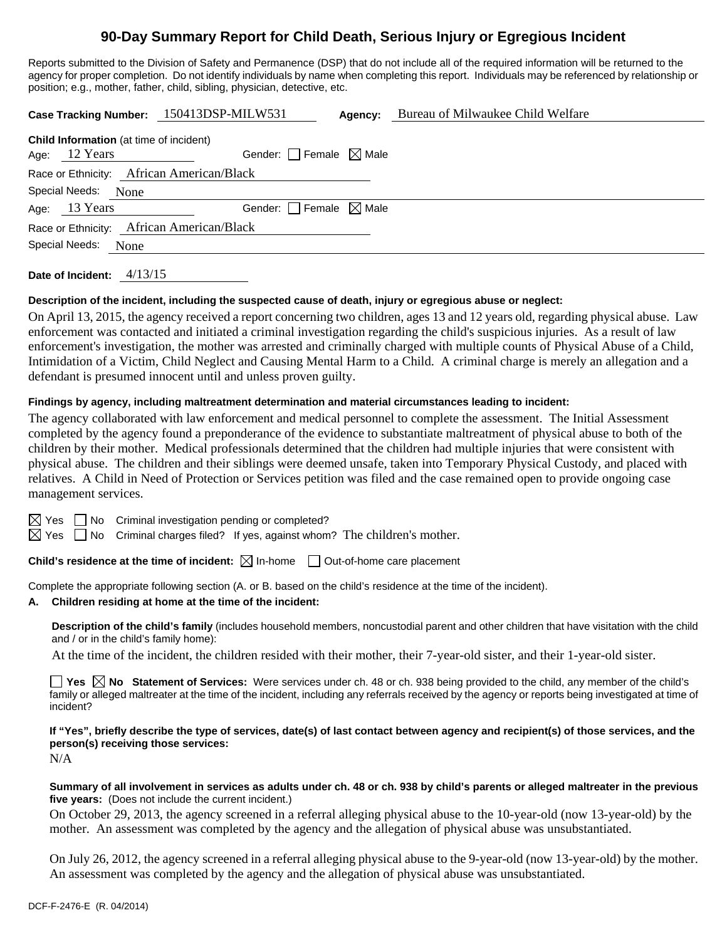# **90-Day Summary Report for Child Death, Serious Injury or Egregious Incident**

Reports submitted to the Division of Safety and Permanence (DSP) that do not include all of the required information will be returned to the agency for proper completion. Do not identify individuals by name when completing this report. Individuals may be referenced by relationship or position; e.g., mother, father, child, sibling, physician, detective, etc.

| <b>Child Information</b> (at time of incident)<br>Gender: Female $\boxtimes$ Male<br>12 Years<br>Age: |  |  |  |  |
|-------------------------------------------------------------------------------------------------------|--|--|--|--|
|                                                                                                       |  |  |  |  |
| Race or Ethnicity: African American/Black                                                             |  |  |  |  |
| Special Needs:<br>None                                                                                |  |  |  |  |
| Gender: $\Box$ Female $\boxtimes$ Male<br>Age: 13 Years                                               |  |  |  |  |
| Race or Ethnicity: African American/Black                                                             |  |  |  |  |
| Special Needs:<br>None                                                                                |  |  |  |  |

**Date of Incident:** 4/13/15

# **Description of the incident, including the suspected cause of death, injury or egregious abuse or neglect:**

On April 13, 2015, the agency received a report concerning two children, ages 13 and 12 years old, regarding physical abuse. Law enforcement was contacted and initiated a criminal investigation regarding the child's suspicious injuries. As a result of law enforcement's investigation, the mother was arrested and criminally charged with multiple counts of Physical Abuse of a Child, Intimidation of a Victim, Child Neglect and Causing Mental Harm to a Child. A criminal charge is merely an allegation and a defendant is presumed innocent until and unless proven guilty.

# **Findings by agency, including maltreatment determination and material circumstances leading to incident:**

The agency collaborated with law enforcement and medical personnel to complete the assessment. The Initial Assessment completed by the agency found a preponderance of the evidence to substantiate maltreatment of physical abuse to both of the children by their mother. Medical professionals determined that the children had multiple injuries that were consistent with physical abuse. The children and their siblings were deemed unsafe, taken into Temporary Physical Custody, and placed with relatives. A Child in Need of Protection or Services petition was filed and the case remained open to provide ongoing case management services.

 $\boxtimes$  Yes  $\Box$  No Criminal investigation pending or completed?

 $\boxtimes$  Yes  $\Box$  No Criminal charges filed? If yes, against whom? The children's mother.

**Child's residence at the time of incident:**  $\boxtimes$  In-home  $\Box$  Out-of-home care placement

Complete the appropriate following section (A. or B. based on the child's residence at the time of the incident).

## **A. Children residing at home at the time of the incident:**

**Description of the child's family** (includes household members, noncustodial parent and other children that have visitation with the child and / or in the child's family home):

At the time of the incident, the children resided with their mother, their 7-year-old sister, and their 1-year-old sister.

**Yes No Statement of Services:** Were services under ch. 48 or ch. 938 being provided to the child, any member of the child's family or alleged maltreater at the time of the incident, including any referrals received by the agency or reports being investigated at time of incident?

**If "Yes", briefly describe the type of services, date(s) of last contact between agency and recipient(s) of those services, and the person(s) receiving those services:** 

N/A

#### **Summary of all involvement in services as adults under ch. 48 or ch. 938 by child's parents or alleged maltreater in the previous five years:** (Does not include the current incident.)

On October 29, 2013, the agency screened in a referral alleging physical abuse to the 10-year-old (now 13-year-old) by the mother. An assessment was completed by the agency and the allegation of physical abuse was unsubstantiated.

On July 26, 2012, the agency screened in a referral alleging physical abuse to the 9-year-old (now 13-year-old) by the mother. An assessment was completed by the agency and the allegation of physical abuse was unsubstantiated.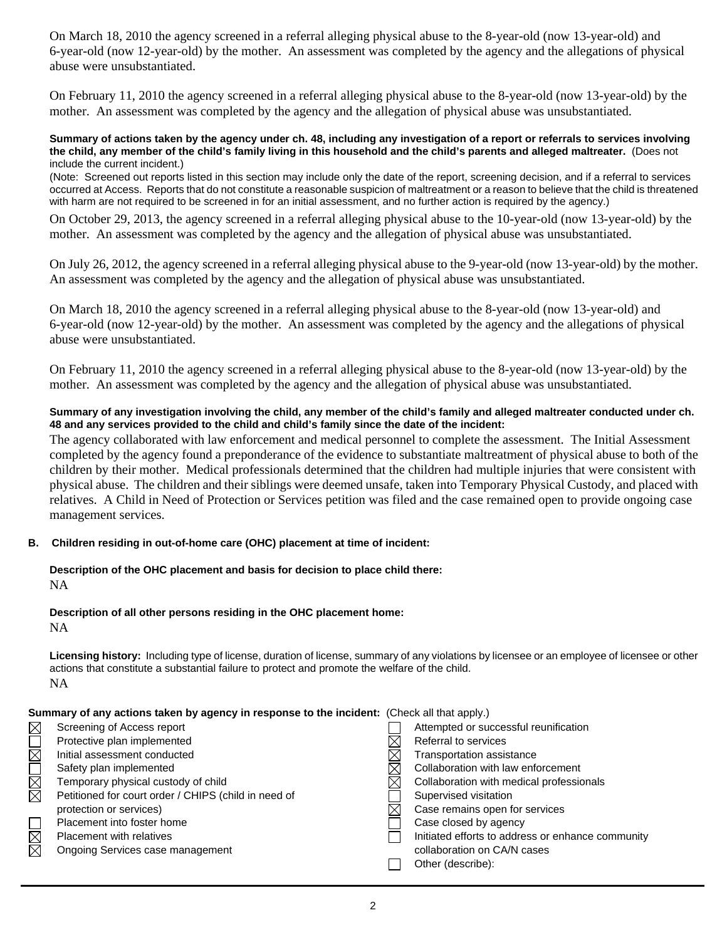On March 18, 2010 the agency screened in a referral alleging physical abuse to the 8-year-old (now 13-year-old) and 6-year-old (now 12-year-old) by the mother. An assessment was completed by the agency and the allegations of physical abuse were unsubstantiated.

On February 11, 2010 the agency screened in a referral alleging physical abuse to the 8-year-old (now 13-year-old) by the mother. An assessment was completed by the agency and the allegation of physical abuse was unsubstantiated.

#### **Summary of actions taken by the agency under ch. 48, including any investigation of a report or referrals to services involving the child, any member of the child's family living in this household and the child's parents and alleged maltreater.** (Does not include the current incident.)

(Note: Screened out reports listed in this section may include only the date of the report, screening decision, and if a referral to services occurred at Access. Reports that do not constitute a reasonable suspicion of maltreatment or a reason to believe that the child is threatened with harm are not required to be screened in for an initial assessment, and no further action is required by the agency.)

On October 29, 2013, the agency screened in a referral alleging physical abuse to the 10-year-old (now 13-year-old) by the mother. An assessment was completed by the agency and the allegation of physical abuse was unsubstantiated.

On July 26, 2012, the agency screened in a referral alleging physical abuse to the 9-year-old (now 13-year-old) by the mother. An assessment was completed by the agency and the allegation of physical abuse was unsubstantiated.

On March 18, 2010 the agency screened in a referral alleging physical abuse to the 8-year-old (now 13-year-old) and 6-year-old (now 12-year-old) by the mother. An assessment was completed by the agency and the allegations of physical abuse were unsubstantiated.

On February 11, 2010 the agency screened in a referral alleging physical abuse to the 8-year-old (now 13-year-old) by the mother. An assessment was completed by the agency and the allegation of physical abuse was unsubstantiated.

## **Summary of any investigation involving the child, any member of the child's family and alleged maltreater conducted under ch. 48 and any services provided to the child and child's family since the date of the incident:**

The agency collaborated with law enforcement and medical personnel to complete the assessment. The Initial Assessment completed by the agency found a preponderance of the evidence to substantiate maltreatment of physical abuse to both of the children by their mother. Medical professionals determined that the children had multiple injuries that were consistent with physical abuse. The children and their siblings were deemed unsafe, taken into Temporary Physical Custody, and placed with relatives. A Child in Need of Protection or Services petition was filed and the case remained open to provide ongoing case management services.

## **B. Children residing in out-of-home care (OHC) placement at time of incident:**

#### **Description of the OHC placement and basis for decision to place child there:** NA

### **Description of all other persons residing in the OHC placement home:** NA

**Licensing history:** Including type of license, duration of license, summary of any violations by licensee or an employee of licensee or other actions that constitute a substantial failure to protect and promote the welfare of the child. NA

| Summary of any actions taken by agency in response to the incident: (Check all that apply.) |                                                      |  |                                                   |
|---------------------------------------------------------------------------------------------|------------------------------------------------------|--|---------------------------------------------------|
| $\boxtimes$                                                                                 | Screening of Access report                           |  | Attempted or successful reunification             |
|                                                                                             | Protective plan implemented                          |  | Referral to services                              |
| $\overline{\boxtimes}$                                                                      | Initial assessment conducted                         |  | Transportation assistance                         |
| N<br>M<br>M                                                                                 | Safety plan implemented                              |  | Collaboration with law enforcement                |
|                                                                                             | Temporary physical custody of child                  |  | Collaboration with medical professionals          |
|                                                                                             | Petitioned for court order / CHIPS (child in need of |  | Supervised visitation                             |
|                                                                                             | protection or services)                              |  | Case remains open for services                    |
|                                                                                             | Placement into foster home                           |  | Case closed by agency                             |
| N<br>N                                                                                      | Placement with relatives                             |  | Initiated efforts to address or enhance community |
|                                                                                             | Ongoing Services case management                     |  | collaboration on CA/N cases                       |
|                                                                                             |                                                      |  | Other (describe):                                 |